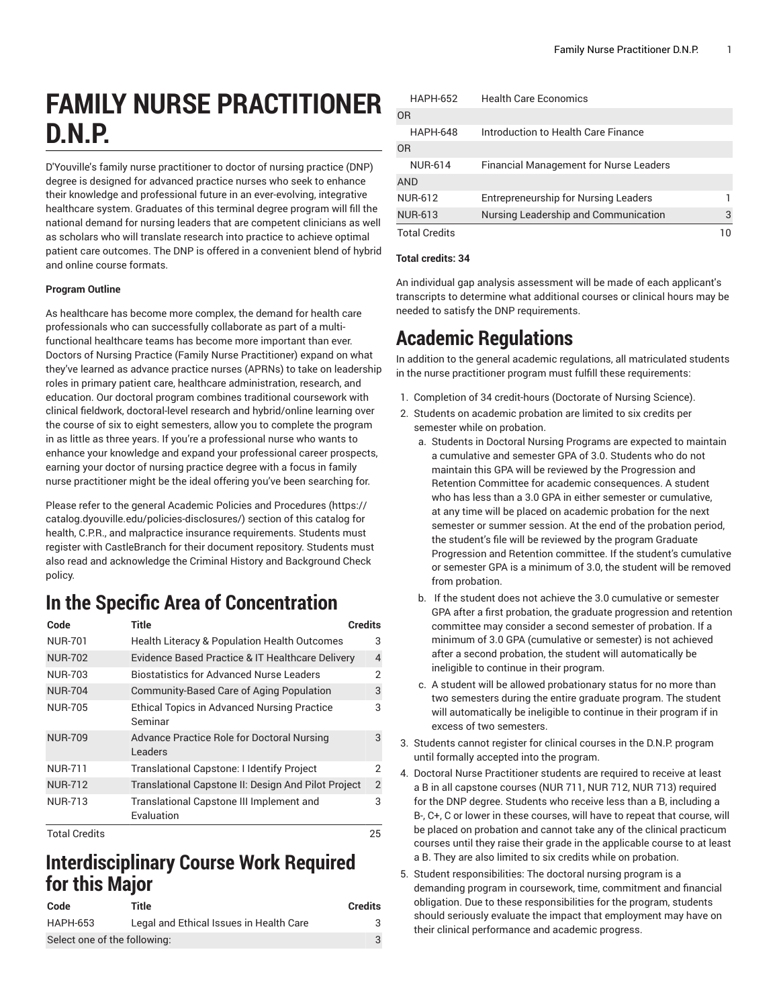# **FAMILY NURSE PRACTITIONER D.N.P.**

D'Youville's family nurse practitioner to doctor of nursing practice (DNP) degree is designed for advanced practice nurses who seek to enhance their knowledge and professional future in an ever-evolving, integrative healthcare system. Graduates of this terminal degree program will fill the national demand for nursing leaders that are competent clinicians as well as scholars who will translate research into practice to achieve optimal patient care outcomes. The DNP is offered in a convenient blend of hybrid and online course formats.

#### **Program Outline**

As healthcare has become more complex, the demand for health care professionals who can successfully collaborate as part of a multifunctional healthcare teams has become more important than ever. Doctors of Nursing Practice (Family Nurse Practitioner) expand on what they've learned as advance practice nurses (APRNs) to take on leadership roles in primary patient care, healthcare administration, research, and education. Our doctoral program combines traditional coursework with clinical fieldwork, doctoral-level research and hybrid/online learning over the course of six to eight semesters, allow you to complete the program in as little as three years. If you're a professional nurse who wants to enhance your knowledge and expand your professional career prospects, earning your doctor of nursing practice degree with a focus in family nurse practitioner might be the ideal offering you've been searching for.

Please refer to the general Academic Policies and [Procedures \(https://](https://catalog.dyouville.edu/policies-disclosures/) [catalog.dyouville.edu/policies-disclosures/](https://catalog.dyouville.edu/policies-disclosures/)) section of this catalog for health, C.P.R., and malpractice insurance requirements. Students must register with CastleBranch for their document repository. Students must also read and acknowledge the Criminal History and Background Check policy.

### **In the Specific Area of Concentration**

| Code           | <b>Title</b>                                                  | <b>Credits</b> |
|----------------|---------------------------------------------------------------|----------------|
| <b>NUR-701</b> | <b>Health Literacy &amp; Population Health Outcomes</b>       | 3              |
| <b>NUR-702</b> | Evidence Based Practice & IT Healthcare Delivery              | 4              |
| <b>NUR-703</b> | <b>Biostatistics for Advanced Nurse Leaders</b>               | 2              |
| <b>NUR-704</b> | Community-Based Care of Aging Population                      | 3              |
| <b>NUR-705</b> | <b>Ethical Topics in Advanced Nursing Practice</b><br>Seminar | 3              |
| <b>NUR-709</b> | Advance Practice Role for Doctoral Nursing<br>Leaders         | 3              |
| <b>NUR-711</b> | Translational Capstone: I Identify Project                    | 2              |
| <b>NUR-712</b> | Translational Capstone II: Design And Pilot Project           | $\overline{2}$ |
| <b>NUR-713</b> | Translational Capstone III Implement and<br>Evaluation        | 3              |
| Total Credits  |                                                               | クら             |

### **Interdisciplinary Course Work Required for this Major**

| Code                         | Title                                   | <b>Credits</b> |
|------------------------------|-----------------------------------------|----------------|
| HAPH-653                     | Legal and Ethical Issues in Health Care |                |
| Select one of the following: |                                         |                |

| <b>HAPH-652</b>      | <b>Health Care Economics</b>                  |    |
|----------------------|-----------------------------------------------|----|
| 0 <sub>R</sub>       |                                               |    |
| <b>HAPH-648</b>      | Introduction to Health Care Finance           |    |
| 0 <sub>R</sub>       |                                               |    |
| <b>NUR-614</b>       | <b>Financial Management for Nurse Leaders</b> |    |
| <b>AND</b>           |                                               |    |
| <b>NUR-612</b>       | Entrepreneurship for Nursing Leaders          |    |
| <b>NUR-613</b>       | Nursing Leadership and Communication          | 3  |
| <b>Total Credits</b> |                                               | 10 |

#### **Total credits: 34**

An individual gap analysis assessment will be made of each applicant's transcripts to determine what additional courses or clinical hours may be needed to satisfy the DNP requirements.

## **Academic Regulations**

In addition to the general academic regulations, all matriculated students in the nurse practitioner program must fulfill these requirements:

- 1. Completion of 34 credit-hours (Doctorate of Nursing Science).
- 2. Students on academic probation are limited to six credits per semester while on probation.
	- a. Students in Doctoral Nursing Programs are expected to maintain a cumulative and semester GPA of 3.0. Students who do not maintain this GPA will be reviewed by the Progression and Retention Committee for academic consequences. A student who has less than a 3.0 GPA in either semester or cumulative, at any time will be placed on academic probation for the next semester or summer session. At the end of the probation period, the student's file will be reviewed by the program Graduate Progression and Retention committee. If the student's cumulative or semester GPA is a minimum of 3.0, the student will be removed from probation.
	- b. If the student does not achieve the 3.0 cumulative or semester GPA after a first probation, the graduate progression and retention committee may consider a second semester of probation. If a minimum of 3.0 GPA (cumulative or semester) is not achieved after a second probation, the student will automatically be ineligible to continue in their program.
	- c. A student will be allowed probationary status for no more than two semesters during the entire graduate program. The student will automatically be ineligible to continue in their program if in excess of two semesters.
- 3. Students cannot register for clinical courses in the D.N.P. program until formally accepted into the program.
- 4. Doctoral Nurse Practitioner students are required to receive at least a B in all capstone courses (NUR 711, NUR 712, NUR 713) required for the DNP degree. Students who receive less than a B, including a B-, C+, C or lower in these courses, will have to repeat that course, will be placed on probation and cannot take any of the clinical practicum courses until they raise their grade in the applicable course to at least a B. They are also limited to six credits while on probation.
- 5. Student responsibilities: The doctoral nursing program is a demanding program in coursework, time, commitment and financial obligation. Due to these responsibilities for the program, students should seriously evaluate the impact that employment may have on their clinical performance and academic progress.